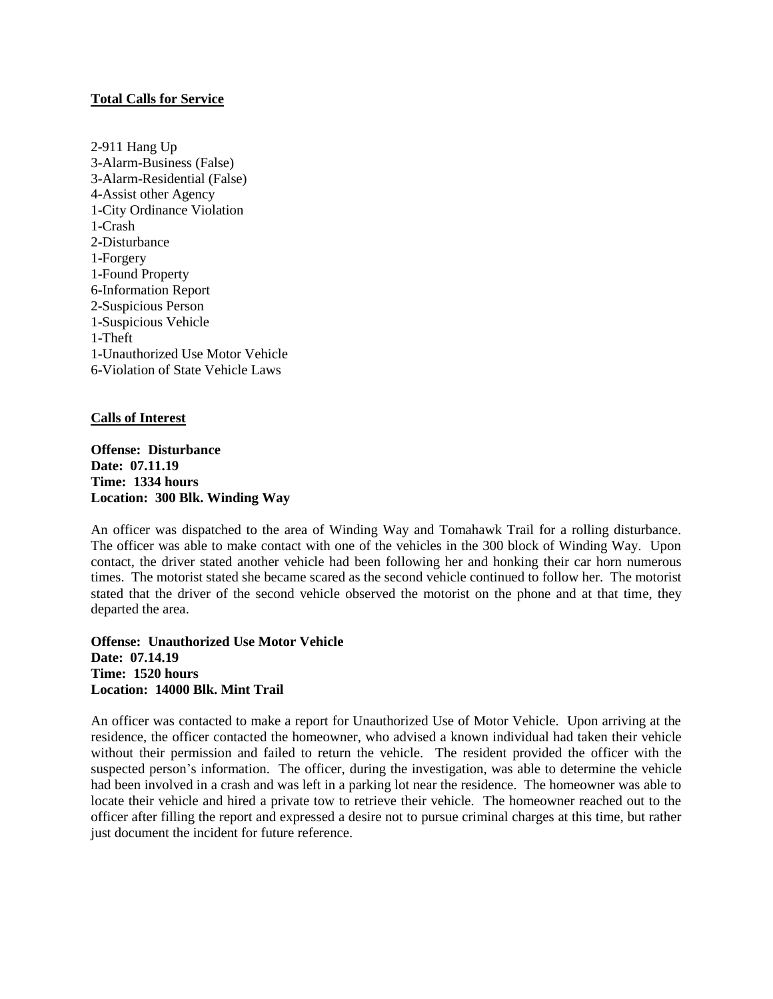## **Total Calls for Service**

2-911 Hang Up 3-Alarm-Business (False) 3-Alarm-Residential (False) 4-Assist other Agency 1-City Ordinance Violation 1-Crash 2-Disturbance 1-Forgery 1-Found Property 6-Information Report 2-Suspicious Person 1-Suspicious Vehicle 1-Theft 1-Unauthorized Use Motor Vehicle 6-Violation of State Vehicle Laws

## **Calls of Interest**

**Offense: Disturbance Date: 07.11.19 Time: 1334 hours Location: 300 Blk. Winding Way**

An officer was dispatched to the area of Winding Way and Tomahawk Trail for a rolling disturbance. The officer was able to make contact with one of the vehicles in the 300 block of Winding Way. Upon contact, the driver stated another vehicle had been following her and honking their car horn numerous times. The motorist stated she became scared as the second vehicle continued to follow her. The motorist stated that the driver of the second vehicle observed the motorist on the phone and at that time, they departed the area.

**Offense: Unauthorized Use Motor Vehicle Date: 07.14.19 Time: 1520 hours Location: 14000 Blk. Mint Trail**

An officer was contacted to make a report for Unauthorized Use of Motor Vehicle. Upon arriving at the residence, the officer contacted the homeowner, who advised a known individual had taken their vehicle without their permission and failed to return the vehicle. The resident provided the officer with the suspected person's information. The officer, during the investigation, was able to determine the vehicle had been involved in a crash and was left in a parking lot near the residence. The homeowner was able to locate their vehicle and hired a private tow to retrieve their vehicle. The homeowner reached out to the officer after filling the report and expressed a desire not to pursue criminal charges at this time, but rather just document the incident for future reference.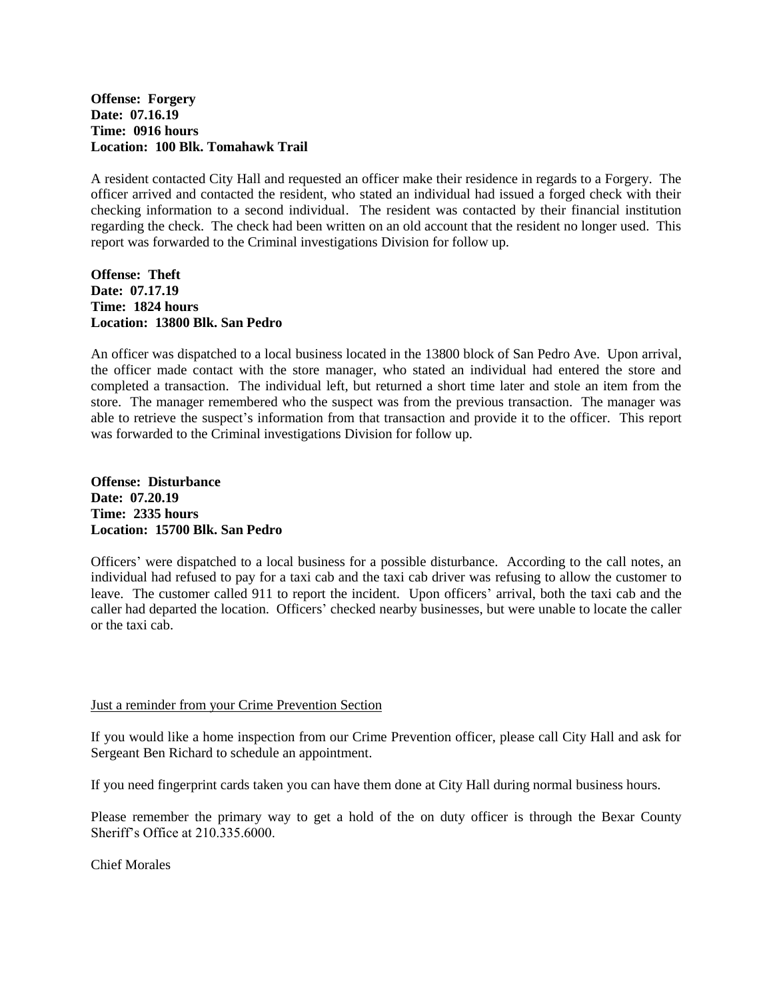**Offense: Forgery Date: 07.16.19 Time: 0916 hours Location: 100 Blk. Tomahawk Trail**

A resident contacted City Hall and requested an officer make their residence in regards to a Forgery. The officer arrived and contacted the resident, who stated an individual had issued a forged check with their checking information to a second individual. The resident was contacted by their financial institution regarding the check. The check had been written on an old account that the resident no longer used. This report was forwarded to the Criminal investigations Division for follow up.

**Offense: Theft Date: 07.17.19 Time: 1824 hours Location: 13800 Blk. San Pedro**

An officer was dispatched to a local business located in the 13800 block of San Pedro Ave. Upon arrival, the officer made contact with the store manager, who stated an individual had entered the store and completed a transaction. The individual left, but returned a short time later and stole an item from the store. The manager remembered who the suspect was from the previous transaction. The manager was able to retrieve the suspect's information from that transaction and provide it to the officer. This report was forwarded to the Criminal investigations Division for follow up.

**Offense: Disturbance Date: 07.20.19 Time: 2335 hours Location: 15700 Blk. San Pedro**

Officers' were dispatched to a local business for a possible disturbance. According to the call notes, an individual had refused to pay for a taxi cab and the taxi cab driver was refusing to allow the customer to leave. The customer called 911 to report the incident. Upon officers' arrival, both the taxi cab and the caller had departed the location. Officers' checked nearby businesses, but were unable to locate the caller or the taxi cab.

## Just a reminder from your Crime Prevention Section

If you would like a home inspection from our Crime Prevention officer, please call City Hall and ask for Sergeant Ben Richard to schedule an appointment.

If you need fingerprint cards taken you can have them done at City Hall during normal business hours.

Please remember the primary way to get a hold of the on duty officer is through the Bexar County Sheriff's Office at 210.335.6000.

Chief Morales